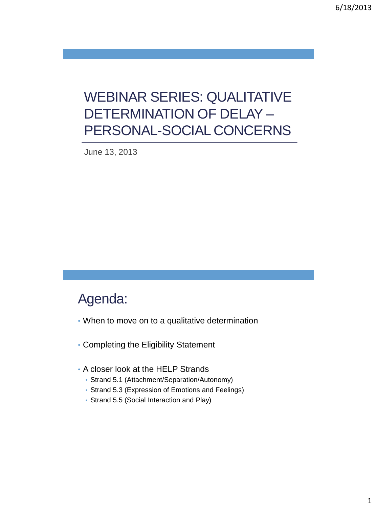# WEBINAR SERIES: QUALITATIVE DETERMINATION OF DELAY – PERSONAL-SOCIAL CONCERNS

June 13, 2013

#### Agenda:

- When to move on to a qualitative determination
- Completing the Eligibility Statement
- A closer look at the HELP Strands
	- Strand 5.1 (Attachment/Separation/Autonomy)
	- Strand 5.3 (Expression of Emotions and Feelings)
	- Strand 5.5 (Social Interaction and Play)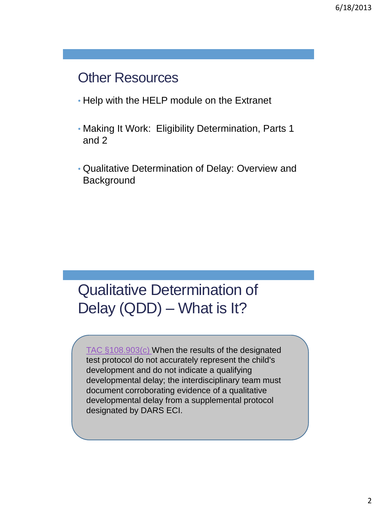### **Other Resources**

- Help with the HELP module on the Extranet
- Making It Work: Eligibility Determination, Parts 1 and 2
- Qualitative Determination of Delay: Overview and **Background**

# Qualitative Determination of Delay (QDD) – What is It?

[TAC §108.903\(c\)](http://info.sos.state.tx.us/pls/pub/readtac$ext.TacPage?sl=R&app=9&p_dir=&p_rloc=&p_tloc=&p_ploc=&pg=1&p_tac=&ti=40&pt=2&ch=108&rl=903) When the results of the designated test protocol do not accurately represent the child's development and do not indicate a qualifying developmental delay; the interdisciplinary team must document corroborating evidence of a qualitative developmental delay from a supplemental protocol designated by DARS ECI.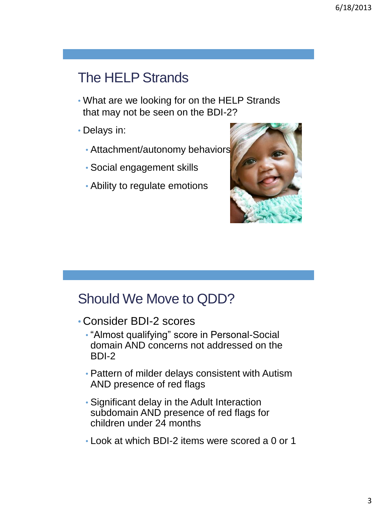# The HELP Strands

- What are we looking for on the HELP Strands that may not be seen on the BDI-2?
- Delays in:
	- Attachment/autonomy behaviors
	- Social engagement skills
	- Ability to regulate emotions



#### Should We Move to QDD?

- Consider BDI-2 scores
	- "Almost qualifying" score in Personal-Social domain AND concerns not addressed on the BDI-2
	- Pattern of milder delays consistent with Autism AND presence of red flags
	- Significant delay in the Adult Interaction subdomain AND presence of red flags for children under 24 months
	- Look at which BDI-2 items were scored a 0 or 1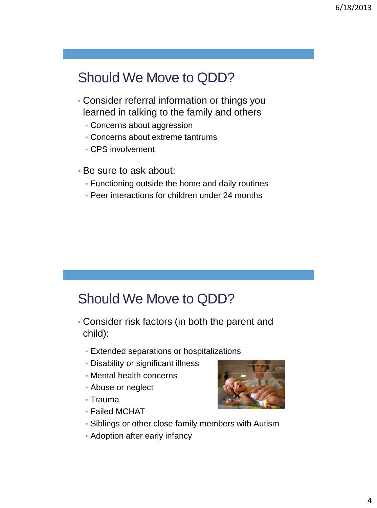# Should We Move to QDD?

- Consider referral information or things you learned in talking to the family and others
	- Concerns about aggression
	- Concerns about extreme tantrums
	- CPS involvement
- Be sure to ask about:
	- Functioning outside the home and daily routines
	- Peer interactions for children under 24 months

#### Should We Move to QDD?

- Consider risk factors (in both the parent and child):
	- Extended separations or hospitalizations
	- Disability or significant illness
	- Mental health concerns
	- Abuse or neglect
	- Trauma
	- Failed MCHAT
- 
- Siblings or other close family members with Autism
- Adoption after early infancy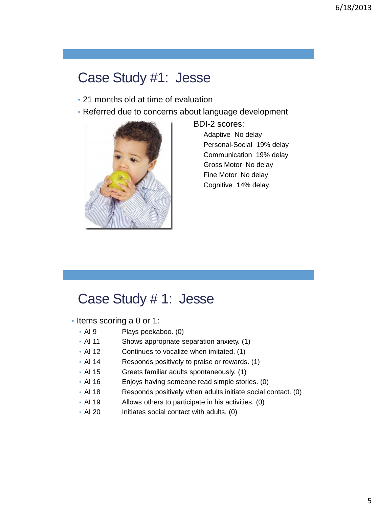### Case Study #1: Jesse

- 21 months old at time of evaluation
- Referred due to concerns about language development



 BDI-2 scores: Adaptive No delay Personal-Social 19% delay Communication 19% delay Gross Motor No delay Fine Motor No delay Cognitive 14% delay

#### Case Study # 1: Jesse

- Items scoring a 0 or 1:
	- AI 9 Plays peekaboo. (0)
	- AI 11 Shows appropriate separation anxiety. (1)
	- AI 12 Continues to vocalize when imitated. (1)
	- AI 14 Responds positively to praise or rewards. (1)
	- AI 15 Greets familiar adults spontaneously. (1)
	- AI 16 Enjoys having someone read simple stories. (0)
	- AI 18 Responds positively when adults initiate social contact. (0)
	- AI 19 Allows others to participate in his activities. (0)
	- AI 20 Initiates social contact with adults. (0)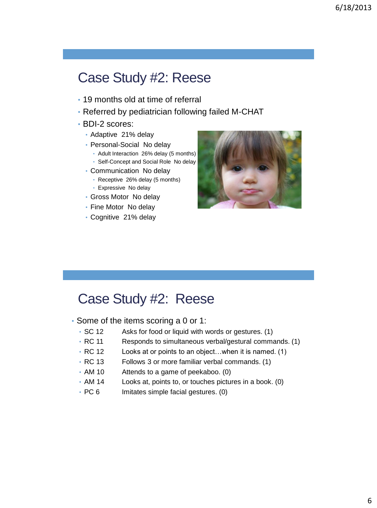#### Case Study #2: Reese

- 19 months old at time of referral
- Referred by pediatrician following failed M-CHAT
- BDI-2 scores:
	- Adaptive 21% delay
	- Personal-Social No delay
		- Adult Interaction 26% delay (5 months) • Self-Concept and Social Role No delay
	- Communication No delay
		- Receptive 26% delay (5 months)
		- Expressive No delay
	- Gross Motor No delay
	- Fine Motor No delay
	- Cognitive 21% delay



#### Case Study #2: Reese

- Some of the items scoring a 0 or 1:
	- SC 12 Asks for food or liquid with words or gestures. (1)
	- RC 11 Responds to simultaneous verbal/gestural commands. (1)
	- RC 12 Looks at or points to an object... when it is named. (1)
	- RC 13 Follows 3 or more familiar verbal commands. (1)
	- AM 10 Attends to a game of peekaboo. (0)
	- AM 14 Looks at, points to, or touches pictures in a book. (0)
	- PC 6 Imitates simple facial gestures. (0)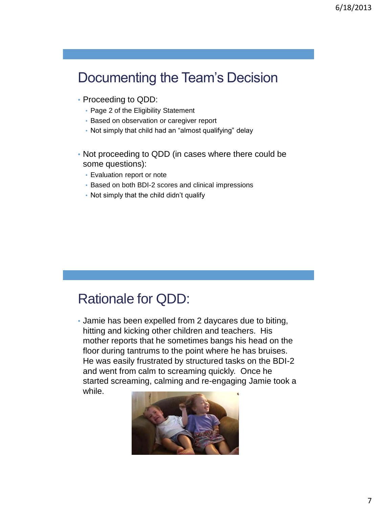# Documenting the Team's Decision

- Proceeding to QDD:
	- Page 2 of the Eligibility Statement
	- Based on observation or caregiver report
	- Not simply that child had an "almost qualifying" delay
- Not proceeding to QDD (in cases where there could be some questions):
	- Evaluation report or note
	- Based on both BDI-2 scores and clinical impressions
	- Not simply that the child didn't qualify

#### Rationale for QDD:

• Jamie has been expelled from 2 daycares due to biting, hitting and kicking other children and teachers. His mother reports that he sometimes bangs his head on the floor during tantrums to the point where he has bruises. He was easily frustrated by structured tasks on the BDI-2 and went from calm to screaming quickly. Once he started screaming, calming and re-engaging Jamie took a while.

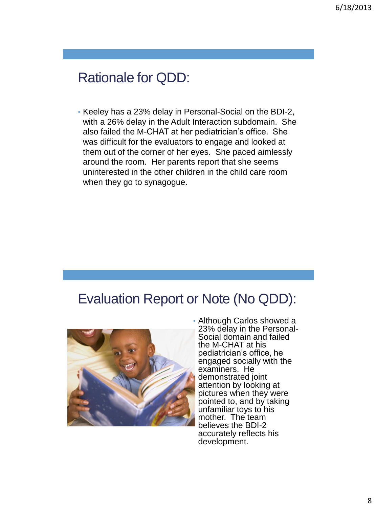# Rationale for QDD:

• Keeley has a 23% delay in Personal-Social on the BDI-2, with a 26% delay in the Adult Interaction subdomain. She also failed the M-CHAT at her pediatrician's office. She was difficult for the evaluators to engage and looked at them out of the corner of her eyes. She paced aimlessly around the room. Her parents report that she seems uninterested in the other children in the child care room when they go to synagogue.

#### Evaluation Report or Note (No QDD):



• Although Carlos showed a 23% delay in the Personal-Social domain and failed the M-CHAT at his pediatrician's office, he engaged socially with the examiners. He demonstrated joint attention by looking at pictures when they were pointed to, and by taking unfamiliar toys to his mother. The team believes the BDI-2 accurately reflects his development.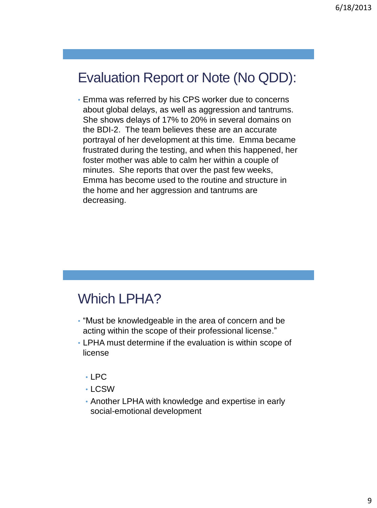# Evaluation Report or Note (No QDD):

• Emma was referred by his CPS worker due to concerns about global delays, as well as aggression and tantrums. She shows delays of 17% to 20% in several domains on the BDI-2. The team believes these are an accurate portrayal of her development at this time. Emma became frustrated during the testing, and when this happened, her foster mother was able to calm her within a couple of minutes. She reports that over the past few weeks, Emma has become used to the routine and structure in the home and her aggression and tantrums are decreasing.

#### Which LPHA?

- "Must be knowledgeable in the area of concern and be acting within the scope of their professional license."
- LPHA must determine if the evaluation is within scope of license
	- LPC
	- LCSW
	- Another LPHA with knowledge and expertise in early social-emotional development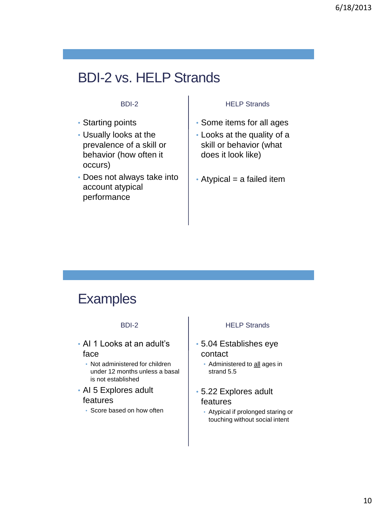# BDI-2 vs. HELP Strands

#### BDI-2

- Starting points
- Usually looks at the prevalence of a skill or behavior (how often it occurs)
- Does not always take into account atypical performance

#### HELP Strands

- Some items for all ages
- Looks at the quality of a skill or behavior (what does it look like)
- $\cdot$  Atypical = a failed item

#### **Examples**

#### BDI-2

- AI 1 Looks at an adult's face
	- Not administered for children under 12 months unless a basal is not established
- AI 5 Explores adult features
	- Score based on how often

#### HELP Strands

- 5.04 Establishes eye contact
	- Administered to all ages in strand 5.5
- 5.22 Explores adult features
	- Atypical if prolonged staring or touching without social intent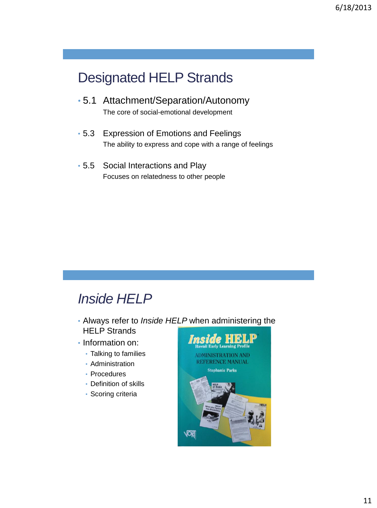# Designated HELP Strands

• 5.1 Attachment/Separation/Autonomy

The core of social-emotional development

- 5.3 Expression of Emotions and Feelings The ability to express and cope with a range of feelings
- 5.5 Social Interactions and Play Focuses on relatedness to other people

### *Inside HELP*

- Always refer to *Inside HELP* when administering the HELP Strands
- Information on:
	- Talking to families
	- Administration
	- Procedures
	- Definition of skills
	- Scoring criteria

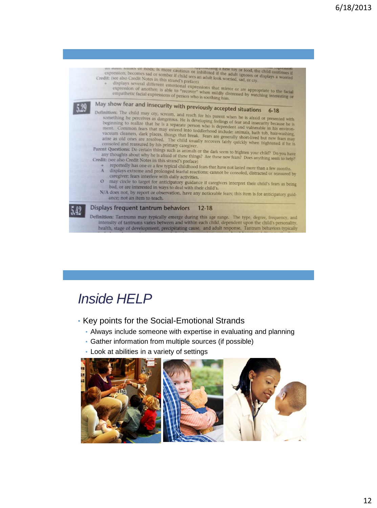

# *Inside HELP*

- Key points for the Social-Emotional Strands
	- Always include someone with expertise in evaluating and planning
	- Gather information from multiple sources (if possible)
	- Look at abilities in a variety of settings

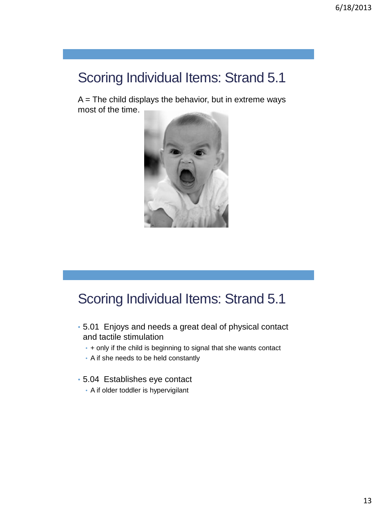$A =$  The child displays the behavior, but in extreme ways most of the time.



- 5.01 Enjoys and needs a great deal of physical contact and tactile stimulation
	- + only if the child is beginning to signal that she wants contact
	- A if she needs to be held constantly
- 5.04 Establishes eye contact
	- A if older toddler is hypervigilant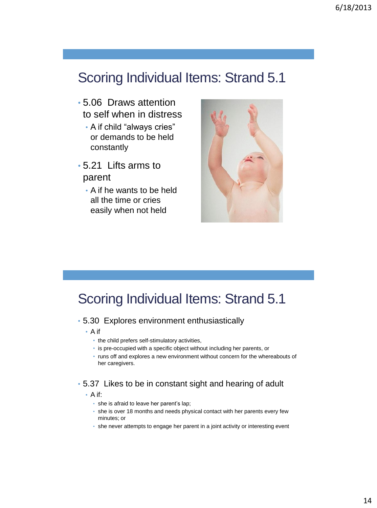- 5.06 Draws attention to self when in distress
	- A if child "always cries" or demands to be held constantly
- 5.21 Lifts arms to parent
	- A if he wants to be held all the time or cries easily when not held



#### Scoring Individual Items: Strand 5.1

#### • 5.30 Explores environment enthusiastically

- A if
	- the child prefers self-stimulatory activities,
	- is pre-occupied with a specific object without including her parents, or
	- runs off and explores a new environment without concern for the whereabouts of her caregivers.

#### • 5.37 Likes to be in constant sight and hearing of adult

- A if:
	- she is afraid to leave her parent's lap;
	- she is over 18 months and needs physical contact with her parents every few minutes; or
	- she never attempts to engage her parent in a joint activity or interesting event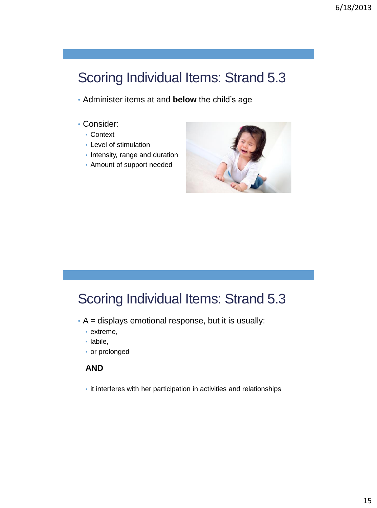- Administer items at and **below** the child's age
- Consider:
	- Context
	- Level of stimulation
	- Intensity, range and duration
	- Amount of support needed



#### Scoring Individual Items: Strand 5.3

- A = displays emotional response, but it is usually:
	- extreme,
	- labile,
	- or prolonged

#### **AND**

• it interferes with her participation in activities and relationships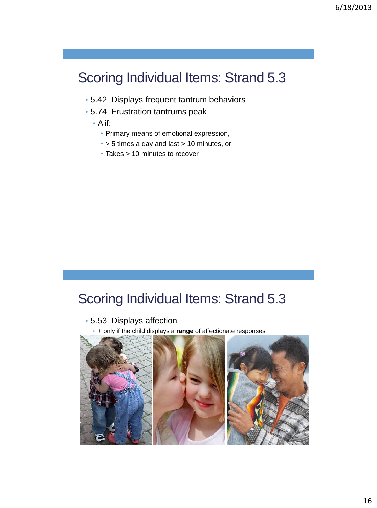- 5.42 Displays frequent tantrum behaviors
- 5.74 Frustration tantrums peak
	- A if:
		- Primary means of emotional expression,
		- > 5 times a day and last > 10 minutes, or
		- Takes > 10 minutes to recover

#### Scoring Individual Items: Strand 5.3

• 5.53 Displays affection

• + only if the child displays a **range** of affectionate responses

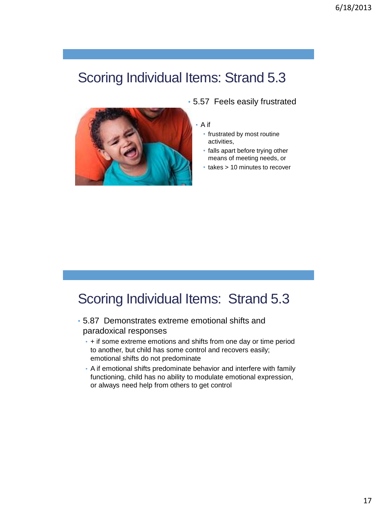

• 5.57 Feels easily frustrated

#### • A if

- frustrated by most routine activities,
- falls apart before trying other means of meeting needs, or
- takes > 10 minutes to recover

- 5.87 Demonstrates extreme emotional shifts and paradoxical responses
	- + if some extreme emotions and shifts from one day or time period to another, but child has some control and recovers easily; emotional shifts do not predominate
	- A if emotional shifts predominate behavior and interfere with family functioning, child has no ability to modulate emotional expression, or always need help from others to get control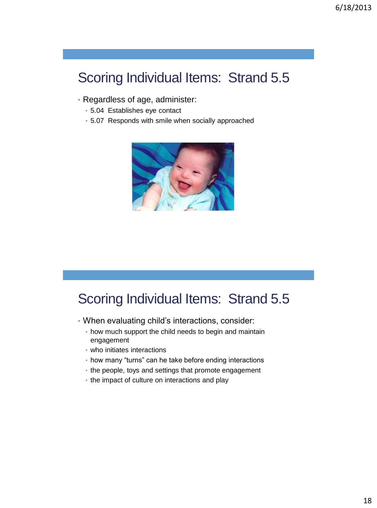- Regardless of age, administer:
	- 5.04 Establishes eye contact
	- 5.07 Responds with smile when socially approached



- When evaluating child's interactions, consider:
	- how much support the child needs to begin and maintain engagement
	- who initiates interactions
	- how many "turns" can he take before ending interactions
	- the people, toys and settings that promote engagement
	- the impact of culture on interactions and play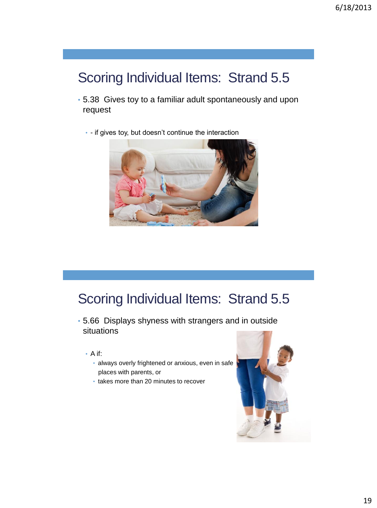- 5.38 Gives toy to a familiar adult spontaneously and upon request
	- - if gives toy, but doesn't continue the interaction



- 5.66 Displays shyness with strangers and in outside situations
	- A if:
		- always overly frightened or anxious, even in safe places with parents, or
		- takes more than 20 minutes to recover

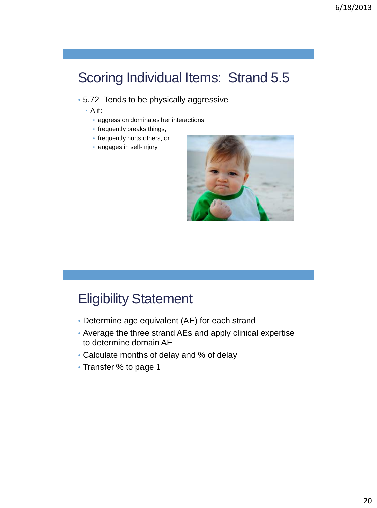#### • 5.72 Tends to be physically aggressive

- A if:
	- aggression dominates her interactions,
	- frequently breaks things,
	- frequently hurts others, or
	- engages in self-injury



### Eligibility Statement

- Determine age equivalent (AE) for each strand
- Average the three strand AEs and apply clinical expertise to determine domain AE
- Calculate months of delay and % of delay
- Transfer % to page 1